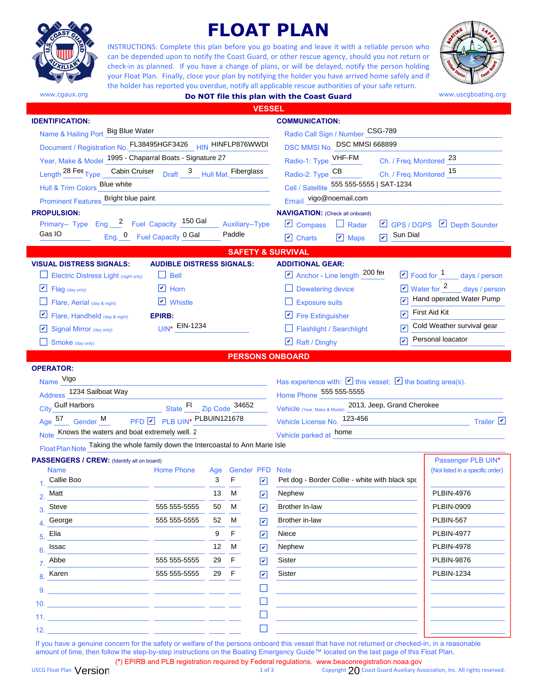

# **FLOAT PLAN**

INSTRUCTIONS: Complete this plan before you go boating and leave it with a reliable person who can be depended upon to notify the Coast Guard, or other rescue agency, should you not return or check-in as planned. If you have a change of plans, or will be delayed, notify the person holding your Float Plan. Finally, close your plan by notifying the holder you have arrived home safely and if the holder has reported you overdue, notify all applicable rescue authorities of your safe return.



www.cgaux.org **Do NOT file this plan with the Coast Guard WWW.uscgboating.org Do NOT file this plan with the Coast Guard** 

| <b>VESSEL</b>                                                                                                   |                 |                                                         |                                  |                                                                         |                                                                    |
|-----------------------------------------------------------------------------------------------------------------|-----------------|---------------------------------------------------------|----------------------------------|-------------------------------------------------------------------------|--------------------------------------------------------------------|
| <b>IDENTIFICATION:</b>                                                                                          |                 |                                                         |                                  | <b>COMMUNICATION:</b>                                                   |                                                                    |
| Name & Hailing Port Big Blue Water                                                                              |                 |                                                         | Radio Call Sign / Number CSG-789 |                                                                         |                                                                    |
| Document / Registration No. FL38495HGF3426 HIN HINFLP876WWDI                                                    |                 | DSC MMSI No. DSC MMSI 668899                            |                                  |                                                                         |                                                                    |
| Year, Make & Model 1995 - Chaparral Boats - Signature 27                                                        |                 | Radio-1: Type <b>VHF-FM</b><br>Ch. / Freq. Monitored 23 |                                  |                                                                         |                                                                    |
| Length <sup>28</sup> Fec <sub>Type</sub> Cabin Cruiser Draft 3 Hull Mat. Fiberglass                             |                 |                                                         |                                  | Radio-2: Type CB<br>Ch. / Freq. Monitored 15                            |                                                                    |
| Hull & Trim Colors Blue white                                                                                   |                 |                                                         |                                  | Cell / Satellite 555 555-5555   SAT-1234                                |                                                                    |
| Prominent Features_Bright blue paint                                                                            |                 |                                                         |                                  | Email vigo@noemail.com                                                  |                                                                    |
| <b>PROPULSION:</b>                                                                                              |                 |                                                         |                                  | <b>NAVIGATION:</b> (Check all onboard)                                  |                                                                    |
| Primary-- Type Eng. 2 Fuel Capacity 150 Gal                                                                     |                 | Auxiliary--Type                                         |                                  | $\Box$ Compass $\Box$ Radar                                             | $\Box$ GPS / DGPS $\Box$ Depth Sounder                             |
| Gas IO<br>Eng. <sup>0</sup> Fuel Capacity <sup>0 Gal</sup>                                                      |                 | Paddle                                                  |                                  | Sun Dial<br>$\overline{v}$<br>$\Box$ Charts<br>$\triangleright$ Maps    |                                                                    |
|                                                                                                                 |                 |                                                         |                                  | <b>SAFETY &amp; SURVIVAL</b>                                            |                                                                    |
| <b>VISUAL DISTRESS SIGNALS:</b><br><b>AUDIBLE DISTRESS SIGNALS:</b>                                             |                 |                                                         |                                  | <b>ADDITIONAL GEAR:</b>                                                 |                                                                    |
| <b>Electric Distress Light (night only)</b><br>$\Box$ Bell                                                      |                 |                                                         |                                  | $\overline{\mathcal{L}}$ Anchor - Line length $\frac{200}{\mathcal{L}}$ | $\Box$ Food for $\frac{1}{\Box}$ days / person                     |
| $\boxed{\triangleright}$ Horn<br>⊻<br>Flag (day only)                                                           |                 |                                                         |                                  | $\Box$ Dewatering device                                                | $\boxed{\triangleright}$ Water for $\frac{2}{\cdot}$ days / person |
| $\triangleright$ Whistle<br>Flare, Aerial (day & night)                                                         |                 |                                                         |                                  | $\Box$ Exposure suits                                                   | Hand operated Water Pump                                           |
| ⊻<br><b>EPIRB:</b><br>Flare, Handheld (day & night)                                                             |                 |                                                         |                                  | $\Box$ Fire Extinguisher                                                | $\nabla$ First Aid Kit                                             |
| UIN* EIN-1234<br>Signal Mirror (day only)<br>M                                                                  |                 |                                                         |                                  | $\Box$ Flashlight / Searchlight                                         | Cold Weather survival gear                                         |
| $\Box$ Smoke (day only)                                                                                         |                 |                                                         |                                  | ☑<br>$\Box$ Raft / Dinghy                                               | Personal loacator                                                  |
|                                                                                                                 |                 |                                                         |                                  | <b>PERSONS ONBOARD</b>                                                  |                                                                    |
| <b>OPERATOR:</b>                                                                                                |                 |                                                         |                                  |                                                                         |                                                                    |
| Name Vigo                                                                                                       |                 |                                                         |                                  |                                                                         |                                                                    |
| Has experience with: $\triangledown$ this vessel; $\triangledown$ the boating area(s).                          |                 |                                                         |                                  |                                                                         |                                                                    |
| Address 1234 Sailboat Way<br>Home Phone 555 555-5555<br>Vehicle (Year, Make & Model) 2013, Jeep, Grand Cherokee |                 |                                                         |                                  |                                                                         |                                                                    |
| City Gulf Harbors<br>State FI Zip Code 34652                                                                    |                 |                                                         |                                  |                                                                         |                                                                    |
| Age 57 Gender M PFD PLB UIN* PLBUIN121678                                                                       |                 |                                                         | Vehicle License No. 123-456      | Trailer $\triangledown$                                                 |                                                                    |
| Note Knows the waters and boat extremely well. 2                                                                |                 |                                                         |                                  | Vehicle parked at home                                                  |                                                                    |
| Float Plan Note Taking the whole family down the Intercoastal to Ann Marie Isle                                 |                 |                                                         |                                  |                                                                         |                                                                    |
| PASSENGERS / CREW: (Identify all on board)<br><b>Name</b><br><b>Home Phone</b>                                  |                 |                                                         |                                  |                                                                         | Passenger PLB UIN*                                                 |
| Callie Boo                                                                                                      | Age<br>3        | Gender PFD Note<br>F                                    | ☑                                | Pet dog - Border Collie - white with black spo                          | (Not listed in a specific order)                                   |
| Matt                                                                                                            | 13 <sup>7</sup> | M                                                       | $\vert\mathbf{v}\vert$           | Nephew                                                                  | PLBIN-4976                                                         |
| 555 555-5555<br>Steve                                                                                           | 50              | M                                                       | $\vert\bm{\mathsf{v}}\vert$      | Brother In-law                                                          | <b>PLBIN-0909</b>                                                  |
| George<br>555 555-5555                                                                                          | 52              | М                                                       |                                  | Brother in-law                                                          | <b>PLBIN-567</b>                                                   |
| Elia                                                                                                            | 9               | F.                                                      | $\boxed{\mathbf{v}}$             | Niece                                                                   | <b>PLBIN-4977</b>                                                  |
| 5.                                                                                                              |                 |                                                         | $\boxed{\mathbf{v}}$             |                                                                         |                                                                    |
| Issac                                                                                                           | 12 <sup>°</sup> | M                                                       | $\boxed{\mathcal{V}}$            | Nephew                                                                  | <b>PLBIN-4978</b>                                                  |
| 555 555-5555<br>Abbe                                                                                            | 29 F            |                                                         | ☑                                | Sister                                                                  | <b>PLBIN-9876</b>                                                  |
| 555 555-5555<br>Karen                                                                                           | 29 F            |                                                         | $\vert\bm{\mathsf{v}}\vert$      | Sister                                                                  | <b>PLBIN-1234</b>                                                  |
|                                                                                                                 |                 |                                                         |                                  |                                                                         |                                                                    |
|                                                                                                                 |                 |                                                         |                                  |                                                                         |                                                                    |
|                                                                                                                 |                 |                                                         |                                  |                                                                         |                                                                    |
|                                                                                                                 |                 |                                                         |                                  |                                                                         |                                                                    |
|                                                                                                                 |                 |                                                         | H                                |                                                                         |                                                                    |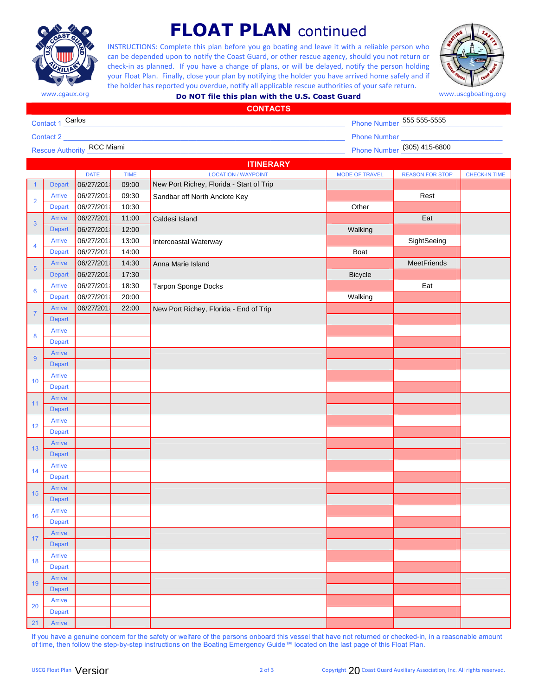

## **FLOAT PLAN** continued

INSTRUCTIONS: Complete this plan before you go boating and leave it with a reliable person who can be depended upon to notify the Coast Guard, or other rescue agency, should you not return or check-in as planned. If you have a change of plans, or will be delayed, notify the person holding your Float Plan. Finally, close your plan by notifying the holder you have arrived home safely and if the holder has reported you overdue, notify all applicable rescue authorities of your safe return.



| www.cgaux.org | Do NOT file this plan with the U.S. Coast Guard | www.uscgboating.org |
|---------------|-------------------------------------------------|---------------------|
|---------------|-------------------------------------------------|---------------------|

| <b>CONTACTS</b>                   |                             |
|-----------------------------------|-----------------------------|
| 1 Carlos<br>Contact               | Phone Number 555 555-5555   |
| Contact 2                         | <b>Phone Number</b>         |
| <b>Rescue Authority RCC Miami</b> | Phone Number (305) 415-6800 |

| <b>ITINERARY</b> |                         |                    |             |                                          |                       |                        |                      |
|------------------|-------------------------|--------------------|-------------|------------------------------------------|-----------------------|------------------------|----------------------|
|                  |                         | <b>DATE</b>        | <b>TIME</b> | <b>LOCATION / WAYPOINT</b>               | <b>MODE OF TRAVEL</b> | <b>REASON FOR STOP</b> | <b>CHECK-IN TIME</b> |
| $\overline{1}$   | Depart                  | 06/27/201          | 09:00       | New Port Richey, Florida - Start of Trip |                       |                        |                      |
| $\overline{2}$   | <b>Arrive</b>           | 06/27/201          | 09:30       | Sandbar off North Anclote Key            |                       | Rest                   |                      |
|                  | Depart                  | 06/27/201<br>10:30 |             |                                          | Other                 |                        |                      |
| 3                | Arrive                  | 06/27/201          | 11:00       | Caldesi Island                           |                       | Eat                    |                      |
|                  | <b>Depart</b>           | 06/27/201          | 12:00       |                                          | Walking               |                        |                      |
| 4                | Arrive                  | 06/27/201          | 13:00       | Intercoastal Waterway                    |                       | SightSeeing            |                      |
|                  | <b>Depart</b>           | 06/27/201          | 14:00       |                                          | Boat                  |                        |                      |
| 5                | <b>Arrive</b>           | 06/27/201          | 14:30       | Anna Marie Island                        |                       | MeetFriends            |                      |
|                  | <b>Depart</b>           | 06/27/201          | 17:30       |                                          | <b>Bicycle</b>        |                        |                      |
| 6                | <b>Arrive</b>           | 06/27/201          | 18:30       | <b>Tarpon Sponge Docks</b>               |                       | Eat                    |                      |
|                  | Depart                  | 06/27/201          | 20:00       |                                          | Walking               |                        |                      |
| $\overline{7}$   | Arrive                  | 06/27/201          | 22:00       | New Port Richey, Florida - End of Trip   |                       |                        |                      |
|                  | <b>Depart</b>           |                    |             |                                          |                       |                        |                      |
| 8                | Arrive                  |                    |             |                                          |                       |                        |                      |
|                  | Depart                  |                    |             |                                          |                       |                        |                      |
| 9                | <b>Arrive</b>           |                    |             |                                          |                       |                        |                      |
|                  | <b>Depart</b>           |                    |             |                                          |                       |                        |                      |
| 10               | <b>Arrive</b>           |                    |             |                                          |                       |                        |                      |
|                  | Depart                  |                    |             |                                          |                       |                        |                      |
| 11               | Arrive                  |                    |             |                                          |                       |                        |                      |
|                  | <b>Depart</b>           |                    |             |                                          |                       |                        |                      |
| 12               | Arrive                  |                    |             |                                          |                       |                        |                      |
|                  | Depart                  |                    |             |                                          |                       |                        |                      |
| 13               | <b>Arrive</b>           |                    |             |                                          |                       |                        |                      |
|                  | Depart<br><b>Arrive</b> |                    |             |                                          |                       |                        |                      |
| 14               | Depart                  |                    |             |                                          |                       |                        |                      |
|                  | Arrive                  |                    |             |                                          |                       |                        |                      |
| 15               | <b>Depart</b>           |                    |             |                                          |                       |                        |                      |
|                  | Arrive                  |                    |             |                                          |                       |                        |                      |
| 16               | Depart                  |                    |             |                                          |                       |                        |                      |
|                  | <b>Arrive</b>           |                    |             |                                          |                       |                        |                      |
| 17               | Depart                  |                    |             |                                          |                       |                        |                      |
|                  | Arrive                  |                    |             |                                          |                       |                        |                      |
| 18               | <b>Depart</b>           |                    |             |                                          |                       |                        |                      |
|                  | Arrive                  |                    |             |                                          |                       |                        |                      |
| 19               | <b>Depart</b>           |                    |             |                                          |                       |                        |                      |
|                  | <b>Arrive</b>           |                    |             |                                          |                       |                        |                      |
| 20               | Depart                  |                    |             |                                          |                       |                        |                      |
| 21               | Arrive                  |                    |             |                                          |                       |                        |                      |

If you have a genuine concern for the safety or welfare of the persons onboard this vessel that have not returned or checked-in, in a reasonable amount of time, then follow the step-by-step instructions on the Boating Emergency Guide™ located on the last page of this Float Plan.